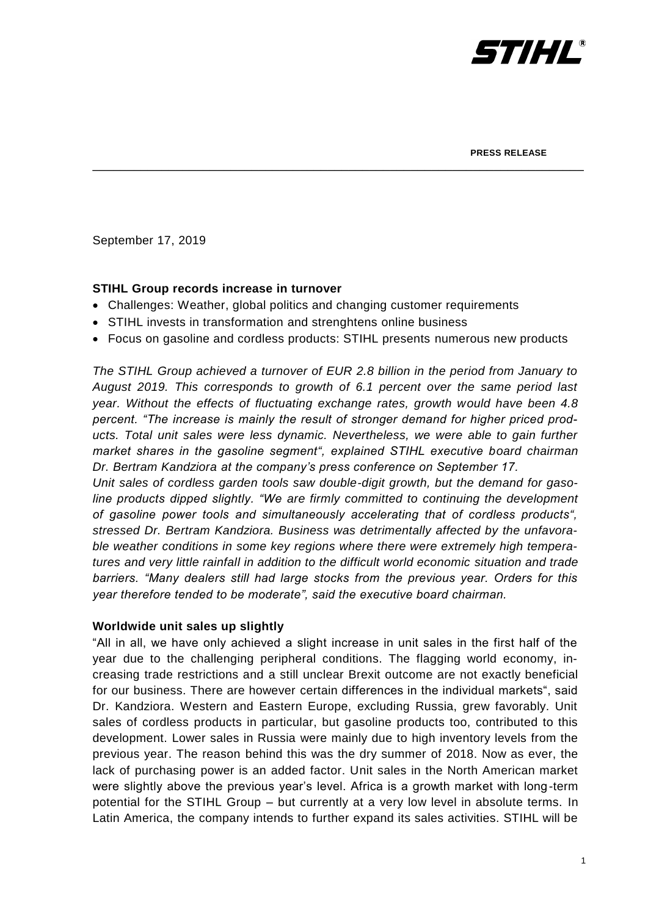

September 17, 2019

## **STIHL Group records increase in turnover**

- Challenges: Weather, global politics and changing customer requirements
- STIHL invests in transformation and strenghtens online business
- Focus on gasoline and cordless products: STIHL presents numerous new products

\_\_\_\_\_\_\_\_\_\_\_\_\_\_\_\_\_\_\_\_\_\_\_\_\_\_\_\_\_\_\_\_\_\_\_\_\_\_\_\_\_\_\_\_\_\_\_\_\_\_\_\_\_\_\_\_\_\_\_\_\_\_\_\_\_\_\_\_\_\_\_

*The STIHL Group achieved a turnover of EUR 2.8 billion in the period from January to August 2019. This corresponds to growth of 6.1 percent over the same period last year. Without the effects of fluctuating exchange rates, growth would have been 4.8 percent. "The increase is mainly the result of stronger demand for higher priced products. Total unit sales were less dynamic. Nevertheless, we were able to gain further market shares in the gasoline segment", explained STIHL executive board chairman Dr. Bertram Kandziora at the company's press conference on September 17.*

*Unit sales of cordless garden tools saw double-digit growth, but the demand for gasoline products dipped slightly. "We are firmly committed to continuing the development of gasoline power tools and simultaneously accelerating that of cordless products", stressed Dr. Bertram Kandziora. Business was detrimentally affected by the unfavorable weather conditions in some key regions where there were extremely high temperatures and very little rainfall in addition to the difficult world economic situation and trade barriers. "Many dealers still had large stocks from the previous year. Orders for this year therefore tended to be moderate", said the executive board chairman.* 

## **Worldwide unit sales up slightly**

"All in all, we have only achieved a slight increase in unit sales in the first half of the year due to the challenging peripheral conditions. The flagging world economy, increasing trade restrictions and a still unclear Brexit outcome are not exactly beneficial for our business. There are however certain differences in the individual markets", said Dr. Kandziora. Western and Eastern Europe, excluding Russia, grew favorably. Unit sales of cordless products in particular, but gasoline products too, contributed to this development. Lower sales in Russia were mainly due to high inventory levels from the previous year. The reason behind this was the dry summer of 2018. Now as ever, the lack of purchasing power is an added factor. Unit sales in the North American market were slightly above the previous year's level. Africa is a growth market with long-term potential for the STIHL Group – but currently at a very low level in absolute terms. In Latin America, the company intends to further expand its sales activities. STIHL will be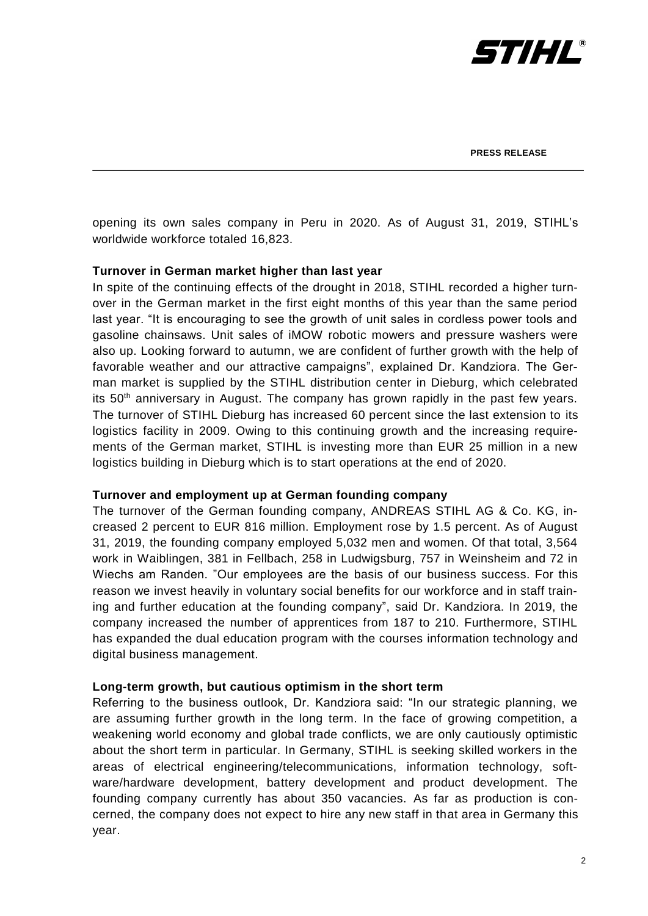

opening its own sales company in Peru in 2020. As of August 31, 2019, STIHL's worldwide workforce totaled 16,823.

\_\_\_\_\_\_\_\_\_\_\_\_\_\_\_\_\_\_\_\_\_\_\_\_\_\_\_\_\_\_\_\_\_\_\_\_\_\_\_\_\_\_\_\_\_\_\_\_\_\_\_\_\_\_\_\_\_\_\_\_\_\_\_\_\_\_\_\_\_\_\_

## **Turnover in German market higher than last year**

In spite of the continuing effects of the drought in 2018, STIHL recorded a higher turnover in the German market in the first eight months of this year than the same period last year. "It is encouraging to see the growth of unit sales in cordless power tools and gasoline chainsaws. Unit sales of iMOW robotic mowers and pressure washers were also up. Looking forward to autumn, we are confident of further growth with the help of favorable weather and our attractive campaigns", explained Dr. Kandziora. The German market is supplied by the STIHL distribution center in Dieburg, which celebrated its 50<sup>th</sup> anniversary in August. The company has grown rapidly in the past few years. The turnover of STIHL Dieburg has increased 60 percent since the last extension to its logistics facility in 2009. Owing to this continuing growth and the increasing requirements of the German market, STIHL is investing more than EUR 25 million in a new logistics building in Dieburg which is to start operations at the end of 2020.

#### **Turnover and employment up at German founding company**

The turnover of the German founding company, ANDREAS STIHL AG & Co. KG, increased 2 percent to EUR 816 million. Employment rose by 1.5 percent. As of August 31, 2019, the founding company employed 5,032 men and women. Of that total, 3,564 work in Waiblingen, 381 in Fellbach, 258 in Ludwigsburg, 757 in Weinsheim and 72 in Wiechs am Randen. "Our employees are the basis of our business success. For this reason we invest heavily in voluntary social benefits for our workforce and in staff training and further education at the founding company", said Dr. Kandziora. In 2019, the company increased the number of apprentices from 187 to 210. Furthermore, STIHL has expanded the dual education program with the courses information technology and digital business management.

#### **Long-term growth, but cautious optimism in the short term**

Referring to the business outlook, Dr. Kandziora said: "In our strategic planning, we are assuming further growth in the long term. In the face of growing competition, a weakening world economy and global trade conflicts, we are only cautiously optimistic about the short term in particular. In Germany, STIHL is seeking skilled workers in the areas of electrical engineering/telecommunications, information technology, software/hardware development, battery development and product development. The founding company currently has about 350 vacancies. As far as production is concerned, the company does not expect to hire any new staff in that area in Germany this year.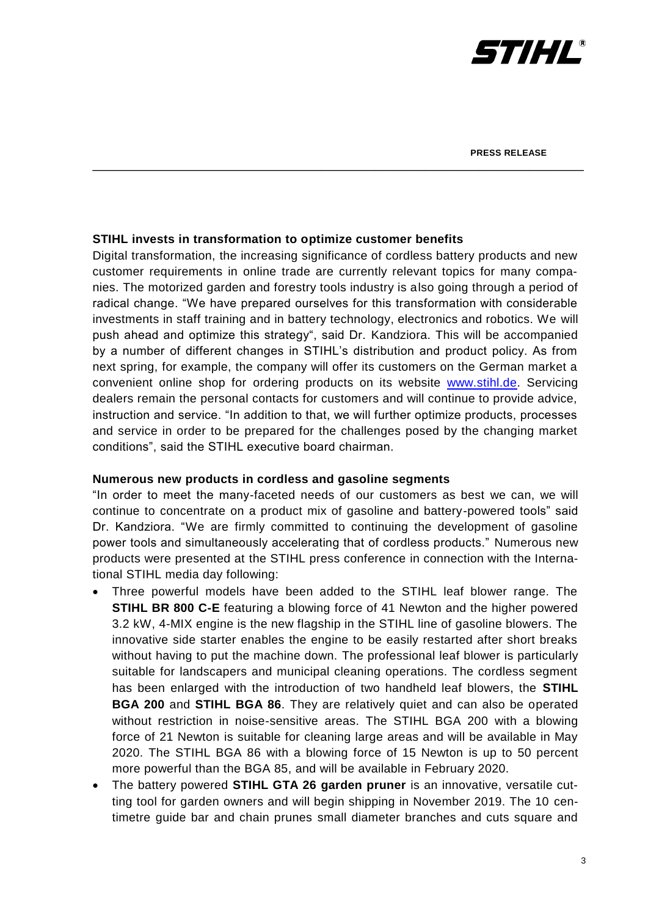

## **STIHL invests in transformation to optimize customer benefits**

Digital transformation, the increasing significance of cordless battery products and new customer requirements in online trade are currently relevant topics for many companies. The motorized garden and forestry tools industry is also going through a period of radical change. "We have prepared ourselves for this transformation with considerable investments in staff training and in battery technology, electronics and robotics. We will push ahead and optimize this strategy", said Dr. Kandziora. This will be accompanied by a number of different changes in STIHL's distribution and product policy. As from next spring, for example, the company will offer its customers on the German market a convenient online shop for ordering products on its website [www.stihl.de.](http://www.stihl.de/) Servicing dealers remain the personal contacts for customers and will continue to provide advice, instruction and service. "In addition to that, we will further optimize products, processes and service in order to be prepared for the challenges posed by the changing market conditions", said the STIHL executive board chairman.

\_\_\_\_\_\_\_\_\_\_\_\_\_\_\_\_\_\_\_\_\_\_\_\_\_\_\_\_\_\_\_\_\_\_\_\_\_\_\_\_\_\_\_\_\_\_\_\_\_\_\_\_\_\_\_\_\_\_\_\_\_\_\_\_\_\_\_\_\_\_\_

#### **Numerous new products in cordless and gasoline segments**

"In order to meet the many-faceted needs of our customers as best we can, we will continue to concentrate on a product mix of gasoline and battery-powered tools" said Dr. Kandziora. "We are firmly committed to continuing the development of gasoline power tools and simultaneously accelerating that of cordless products." Numerous new products were presented at the STIHL press conference in connection with the International STIHL media day following:

- Three powerful models have been added to the STIHL leaf blower range. The **STIHL BR 800 C-E** featuring a blowing force of 41 Newton and the higher powered 3.2 kW, 4-MIX engine is the new flagship in the STIHL line of gasoline blowers. The innovative side starter enables the engine to be easily restarted after short breaks without having to put the machine down. The professional leaf blower is particularly suitable for landscapers and municipal cleaning operations. The cordless segment has been enlarged with the introduction of two handheld leaf blowers, the **STIHL BGA 200** and **STIHL BGA 86**. They are relatively quiet and can also be operated without restriction in noise-sensitive areas. The STIHL BGA 200 with a blowing force of 21 Newton is suitable for cleaning large areas and will be available in May 2020. The STIHL BGA 86 with a blowing force of 15 Newton is up to 50 percent more powerful than the BGA 85, and will be available in February 2020.
- The battery powered **STIHL GTA 26 garden pruner** is an innovative, versatile cutting tool for garden owners and will begin shipping in November 2019. The 10 centimetre guide bar and chain prunes small diameter branches and cuts square and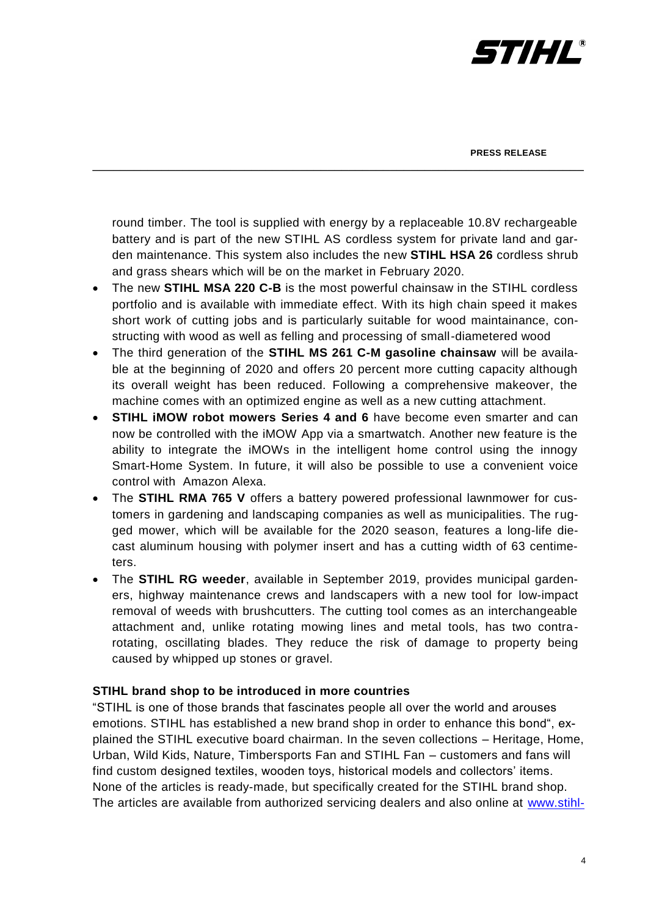

**PRESS RELEASE**

round timber. The tool is supplied with energy by a replaceable 10.8V rechargeable battery and is part of the new STIHL AS cordless system for private land and garden maintenance. This system also includes the new **STIHL HSA 26** cordless shrub and grass shears which will be on the market in February 2020.

\_\_\_\_\_\_\_\_\_\_\_\_\_\_\_\_\_\_\_\_\_\_\_\_\_\_\_\_\_\_\_\_\_\_\_\_\_\_\_\_\_\_\_\_\_\_\_\_\_\_\_\_\_\_\_\_\_\_\_\_\_\_\_\_\_\_\_\_\_\_\_

- The new **STIHL MSA 220 C-B** is the most powerful chainsaw in the STIHL cordless portfolio and is available with immediate effect. With its high chain speed it makes short work of cutting jobs and is particularly suitable for wood maintainance, constructing with wood as well as felling and processing of small-diametered wood
- The third generation of the **STIHL MS 261 C-M gasoline chainsaw** will be available at the beginning of 2020 and offers 20 percent more cutting capacity although its overall weight has been reduced. Following a comprehensive makeover, the machine comes with an optimized engine as well as a new cutting attachment.
- **STIHL iMOW robot mowers Series 4 and 6** have become even smarter and can now be controlled with the iMOW App via a smartwatch. Another new feature is the ability to integrate the iMOWs in the intelligent home control using the innogy Smart-Home System. In future, it will also be possible to use a convenient voice control with Amazon Alexa.
- The **STIHL RMA 765 V** offers a battery powered professional lawnmower for customers in gardening and landscaping companies as well as municipalities. The rugged mower, which will be available for the 2020 season, features a long-life diecast aluminum housing with polymer insert and has a cutting width of 63 centimeters.
- The **STIHL RG weeder**, available in September 2019, provides municipal gardeners, highway maintenance crews and landscapers with a new tool for low-impact removal of weeds with brushcutters. The cutting tool comes as an interchangeable attachment and, unlike rotating mowing lines and metal tools, has two contrarotating, oscillating blades. They reduce the risk of damage to property being caused by whipped up stones or gravel.

## **STIHL brand shop to be introduced in more countries**

"STIHL is one of those brands that fascinates people all over the world and arouses emotions. STIHL has established a new brand shop in order to enhance this bond", explained the STIHL executive board chairman. In the seven collections – Heritage, Home, Urban, Wild Kids, Nature, Timbersports Fan and STIHL Fan – customers and fans will find custom designed textiles, wooden toys, historical models and collectors' items. None of the articles is ready-made, but specifically created for the STIHL brand shop. The articles are available from authorized servicing dealers and also online at [www.stihl-](http://www.stihl-markenshop.de/)